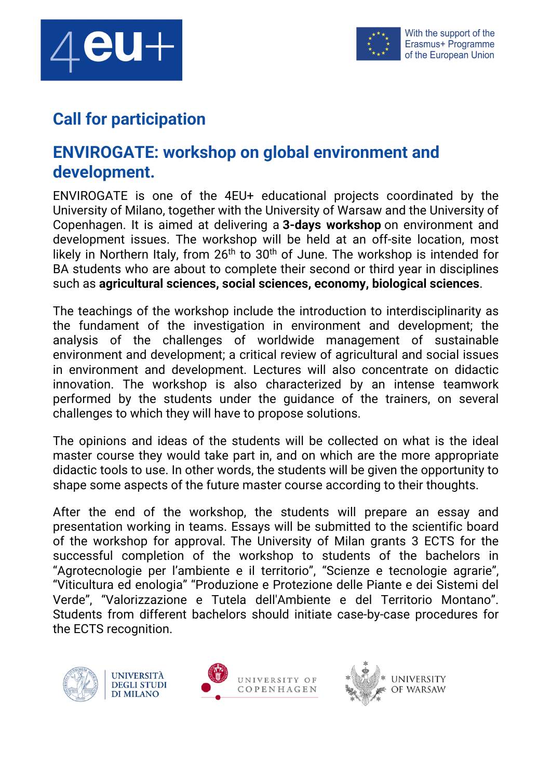



## **Call for participation**

## **ENVIROGATE: workshop on global environment and development.**

ENVIROGATE is one of the 4EU+ educational projects coordinated by the University of Milano, together with the University of Warsaw and the University of Copenhagen. It is aimed at delivering a **3-days workshop** on environment and development issues. The workshop will be held at an off-site location, most likely in Northern Italy, from  $26<sup>th</sup>$  to  $30<sup>th</sup>$  of June. The workshop is intended for BA students who are about to complete their second or third year in disciplines such as **agricultural sciences, social sciences, economy, biological sciences**.

The teachings of the workshop include the introduction to interdisciplinarity as the fundament of the investigation in environment and development; the analysis of the challenges of worldwide management of sustainable environment and development; a critical review of agricultural and social issues in environment and development. Lectures will also concentrate on didactic innovation. The workshop is also characterized by an intense teamwork performed by the students under the guidance of the trainers, on several challenges to which they will have to propose solutions.

The opinions and ideas of the students will be collected on what is the ideal master course they would take part in, and on which are the more appropriate didactic tools to use. In other words, the students will be given the opportunity to shape some aspects of the future master course according to their thoughts.

After the end of the workshop, the students will prepare an essay and presentation working in teams. Essays will be submitted to the scientific board of the workshop for approval. The University of Milan grants 3 ECTS for the successful completion of the workshop to students of the bachelors in "Agrotecnologie per l'ambiente e il territorio", "Scienze e tecnologie agrarie", "Viticultura ed enologia" "Produzione e Protezione delle Piante e dei Sistemi del Verde", "Valorizzazione e Tutela dell'Ambiente e del Territorio Montano". Students from different bachelors should initiate case-by-case procedures for the ECTS recognition.





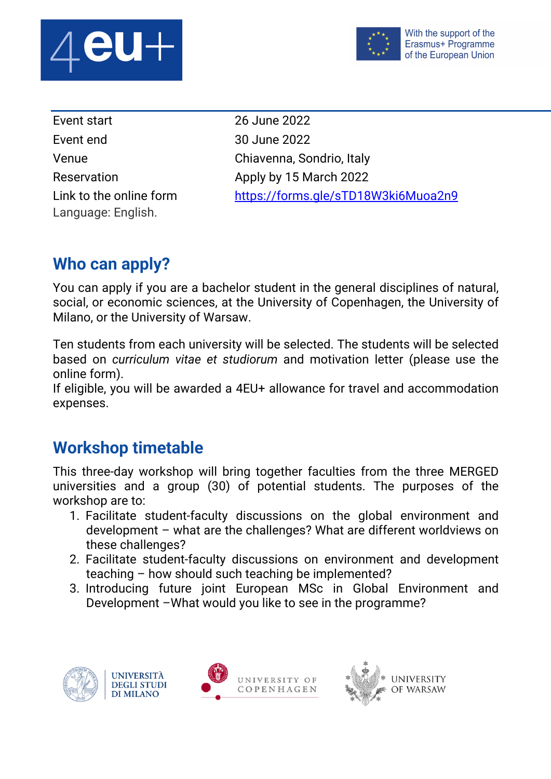



| Event start             |
|-------------------------|
| Event end               |
| Venue                   |
| Reservation             |
| Link to the online form |
| Language: English.      |

26 June 2022 30 June 2022 Chiavenna, Sondrio, Italy Apply by 15 March 2022 https://forms.gle/sTD18W3ki6Muoa2n9

## **Who can apply?**

You can apply if you are a bachelor student in the general disciplines of natural, social, or economic sciences, at the University of Copenhagen, the University of Milano, or the University of Warsaw.

Ten students from each university will be selected. The students will be selected based on *curriculum vitae et studiorum* and motivation letter (please use the online form).

If eligible, you will be awarded a 4EU+ allowance for travel and accommodation expenses.

## **Workshop timetable**

This three-day workshop will bring together faculties from the three MERGED universities and a group (30) of potential students. The purposes of the workshop are to:

- 1. Facilitate student-faculty discussions on the global environment and development – what are the challenges? What are different worldviews on these challenges?
- 2. Facilitate student-faculty discussions on environment and development teaching – how should such teaching be implemented?
- 3. Introducing future joint European MSc in Global Environment and Development –What would you like to see in the programme?





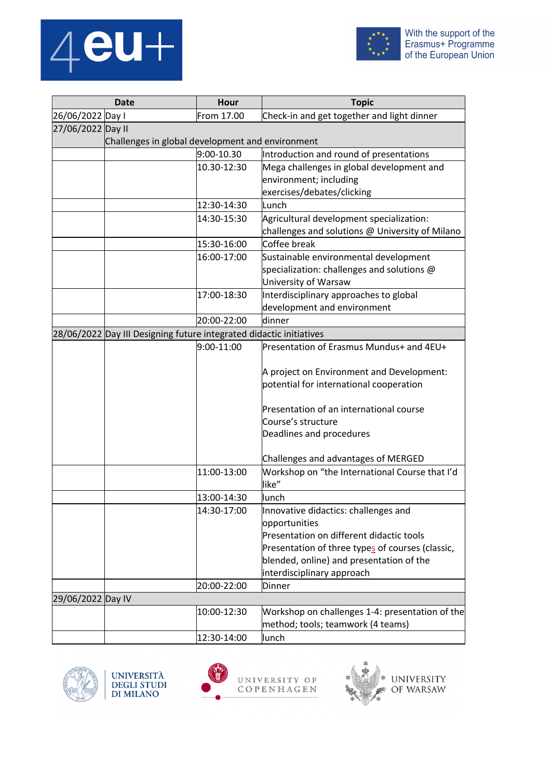



| <b>Date</b>                                                         |                                                  | <b>Hour</b> | <b>Topic</b>                                                                         |  |  |  |
|---------------------------------------------------------------------|--------------------------------------------------|-------------|--------------------------------------------------------------------------------------|--|--|--|
| 26/06/2022 Day I                                                    |                                                  | From 17.00  | Check-in and get together and light dinner                                           |  |  |  |
| 27/06/2022 Day II                                                   |                                                  |             |                                                                                      |  |  |  |
|                                                                     | Challenges in global development and environment |             |                                                                                      |  |  |  |
|                                                                     |                                                  | 9:00-10.30  | Introduction and round of presentations                                              |  |  |  |
|                                                                     |                                                  | 10.30-12:30 | Mega challenges in global development and                                            |  |  |  |
|                                                                     |                                                  |             | environment; including                                                               |  |  |  |
|                                                                     |                                                  |             | exercises/debates/clicking                                                           |  |  |  |
|                                                                     |                                                  | 12:30-14:30 | Lunch                                                                                |  |  |  |
|                                                                     |                                                  | 14:30-15:30 | Agricultural development specialization:                                             |  |  |  |
|                                                                     |                                                  |             | challenges and solutions @ University of Milano                                      |  |  |  |
|                                                                     |                                                  | 15:30-16:00 | Coffee break                                                                         |  |  |  |
|                                                                     |                                                  | 16:00-17:00 | Sustainable environmental development                                                |  |  |  |
|                                                                     |                                                  |             | specialization: challenges and solutions @<br>University of Warsaw                   |  |  |  |
|                                                                     |                                                  | 17:00-18:30 | Interdisciplinary approaches to global                                               |  |  |  |
|                                                                     |                                                  |             | development and environment                                                          |  |  |  |
|                                                                     |                                                  | 20:00-22:00 | dinner                                                                               |  |  |  |
| 28/06/2022 Day III Designing future integrated didactic initiatives |                                                  |             |                                                                                      |  |  |  |
|                                                                     |                                                  | 9:00-11:00  | Presentation of Erasmus Mundus+ and 4EU+                                             |  |  |  |
|                                                                     |                                                  |             | A project on Environment and Development:<br>potential for international cooperation |  |  |  |
|                                                                     |                                                  |             | Presentation of an international course                                              |  |  |  |
|                                                                     |                                                  |             | Course's structure                                                                   |  |  |  |
|                                                                     |                                                  |             | Deadlines and procedures                                                             |  |  |  |
|                                                                     |                                                  |             | Challenges and advantages of MERGED                                                  |  |  |  |
|                                                                     |                                                  | 11:00-13:00 | Workshop on "the International Course that I'd<br>like"                              |  |  |  |
|                                                                     |                                                  | 13:00-14:30 | lunch                                                                                |  |  |  |
|                                                                     |                                                  | 14:30-17:00 | Innovative didactics: challenges and<br>opportunities                                |  |  |  |
|                                                                     |                                                  |             | Presentation on different didactic tools                                             |  |  |  |
|                                                                     |                                                  |             | Presentation of three types of courses (classic,                                     |  |  |  |
|                                                                     |                                                  |             | blended, online) and presentation of the                                             |  |  |  |
|                                                                     |                                                  |             | interdisciplinary approach                                                           |  |  |  |
|                                                                     |                                                  | 20:00-22:00 | <b>Dinner</b>                                                                        |  |  |  |
| 29/06/2022 Day IV                                                   |                                                  |             |                                                                                      |  |  |  |
|                                                                     |                                                  | 10:00-12:30 | Workshop on challenges 1-4: presentation of the                                      |  |  |  |
|                                                                     |                                                  |             | method; tools; teamwork (4 teams)                                                    |  |  |  |
|                                                                     |                                                  | 12:30-14:00 | lunch                                                                                |  |  |  |



UNIVERSITÀ<br>DEGLI STUDI<br>DI MILANO